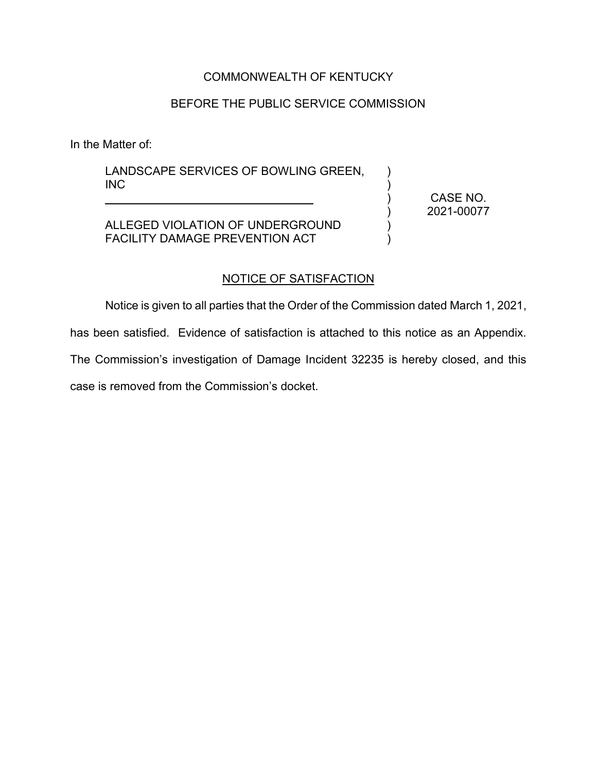# COMMONWEALTH OF KENTUCKY

# BEFORE THE PUBLIC SERVICE COMMISSION

In the Matter of:

LANDSCAPE SERVICES OF BOWLING GREEN, INC

ALLEGED VIOLATION OF UNDERGROUND FACILITY DAMAGE PREVENTION ACT

\_\_\_\_\_\_\_\_\_\_\_\_\_\_\_\_\_\_\_\_\_\_\_\_\_\_\_\_\_\_\_\_

CASE NO. 2021-00077

 $\lambda$  $\lambda$ ) ) ) )

#### NOTICE OF SATISFACTION

Notice is given to all parties that the Order of the Commission dated March 1, 2021,

has been satisfied. Evidence of satisfaction is attached to this notice as an Appendix.

The Commission's investigation of Damage Incident 32235 is hereby closed, and this case is removed from the Commission's docket.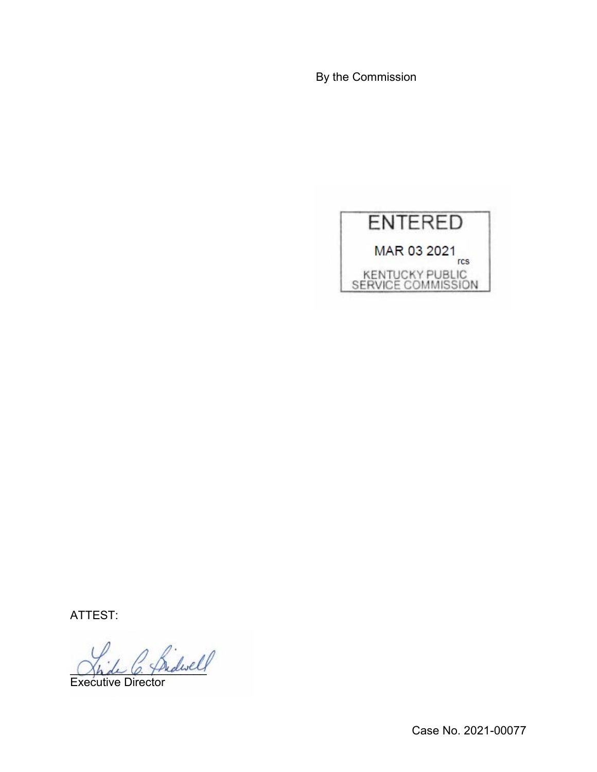By the Commission



ATTEST:

\_\_\_\_\_\_\_\_\_\_\_\_\_\_\_\_\_\_\_\_\_

Executive Director

Case No. 2021-00077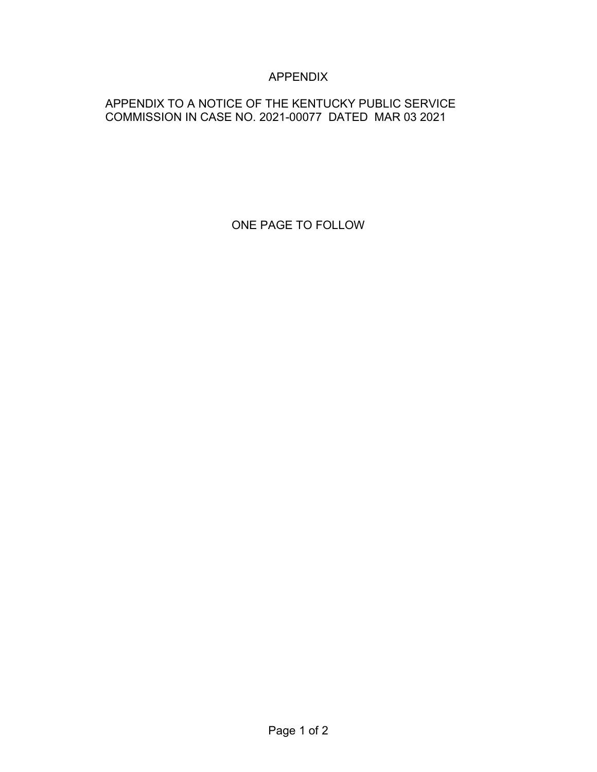# APPENDIX

# APPENDIX TO A NOTICE OF THE KENTUCKY PUBLIC SERVICE COMMISSION IN CASE NO. 2021-00077 DATED MAR 03 2021

ONE PAGE TO FOLLOW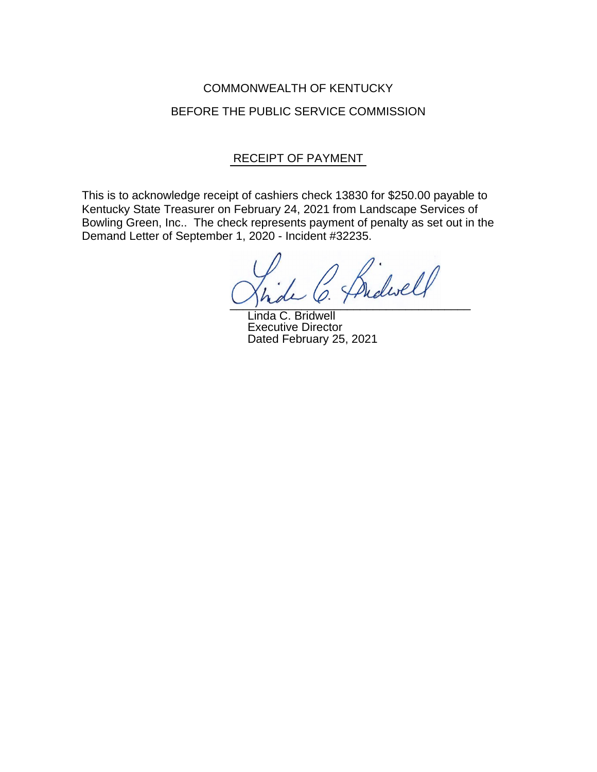# COMMONWEALTH OF KENTUCKY BEFORE THE PUBLIC SERVICE COMMISSION

# RECEIPT OF PAYMENT

This is to acknowledge receipt of cashiers check 13830 for \$250.00 payable to Kentucky State Treasurer on February 24, 2021 from Landscape Services of Bowling Green, Inc.. The check represents payment of penalty as set out in the Demand Letter of September 1, 2020 - Incident #32235.

idirell  $\cup$  place  $\ell$  :

Linda C. Bridwell Executive Director Dated February 25, 2021